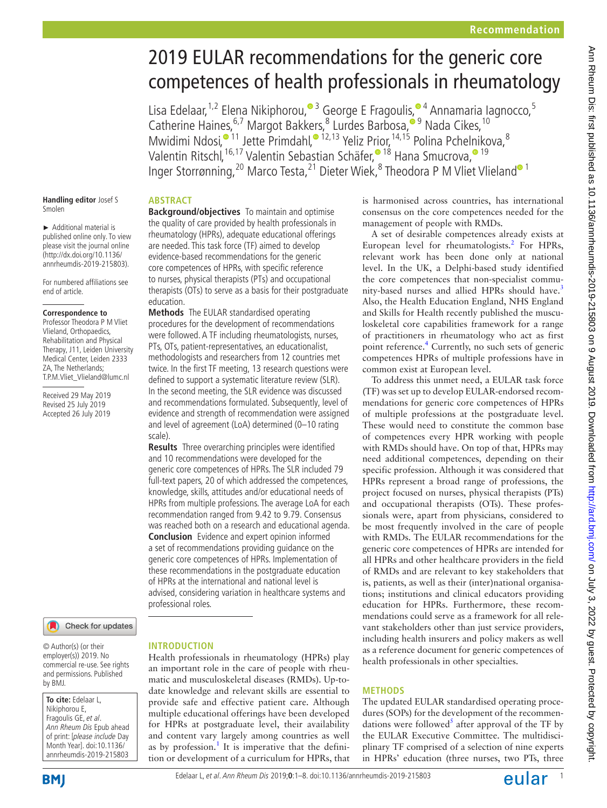# 2019 EULAR recommendations for the generic core competences of health professionals in rheumatology

Lisa Edelaar,<sup>1,2</sup> Elena Nikiphorou,<sup>® 3</sup> George E Fragoulis,<sup>® 4</sup> Annamaria Iagnocco,<sup>5</sup> Catherine Haines, <sup>6,7</sup> Margot Bakkers, <sup>8</sup> Lurdes Barbosa,<sup>® [9](http://orcid.org/0000-0003-4932-7023)</sup> Nada Cikes, <sup>10</sup> Mwidimi Ndosi,<sup>•11</sup> Jette Primdahl,<sup>•12,13</sup> Yeliz Prior,<sup>14,1[5](http://orcid.org/0000-0001-7010-5228)</sup> Polina Pchel[ni](http://orcid.org/0000-0001-8614-4934)kova,<sup>8</sup> Valentin Ritschl, <sup>[16](http://orcid.org/0000-0002-7764-3173), 17</sup> Valentin Sebastian Schäfer, <sup>• 18</sup> Hana Smucrova, • <sup>19</sup> Inger Storrønning,<sup>20</sup> Marco Testa,<sup>21</sup> Dieter Wiek,<sup>[8](http://orcid.org/0000-0002-6591-5936)</sup> Theodora P M Vliet Vlieland® <sup>1</sup>

#### **Abstract Background/objectives** To maintain and optimise

education.

scale).

the quality of care provided by health professionals in rheumatology (HPRs), adequate educational offerings are needed. This task force (TF) aimed to develop evidence-based recommendations for the generic core competences of HPRs, with specific reference to nurses, physical therapists (PTs) and occupational therapists (OTs) to serve as a basis for their postgraduate

**Methods** The EULAR standardised operating procedures for the development of recommendations were followed. A TF including rheumatologists, nurses, PTs, OTs, patient-representatives, an educationalist, methodologists and researchers from 12 countries met twice. In the first TF meeting, 13 research questions were defined to support a systematic literature review (SLR). In the second meeting, the SLR evidence was discussed and recommendations formulated. Subsequently, level of evidence and strength of recommendation were assigned and level of agreement (LoA) determined (0–10 rating

**Results** Three overarching principles were identified and 10 recommendations were developed for the generic core competences of HPRs. The SLR included 79 full-text papers, 20 of which addressed the competences, knowledge, skills, attitudes and/or educational needs of HPRs from multiple professions. The average LoA for each recommendation ranged from 9.42 to 9.79. Consensus was reached both on a research and educational agenda. **Conclusion** Evidence and expert opinion informed a set of recommendations providing guidance on the generic core competences of HPRs. Implementation of these recommendations in the postgraduate education of HPRs at the international and national level is advised, considering variation in healthcare systems and

**Handling editor** Josef S Smolen

► Additional material is published online only. To view please visit the journal online [\(http://dx.doi.org/10.1136/](http://dx.doi.org/10.1136/annrheumdis-2019-215803) [annrheumdis-2019-215803\)](http://dx.doi.org/10.1136/annrheumdis-2019-215803).

For numbered affiliations see end of article.

#### **Correspondence to**

Professor Theodora P M Vliet Vlieland, Orthopaedics, Rehabilitation and Physical Therapy, J11, Leiden University Medical Center, Leiden 2333 ZA, The Netherlands; T.P.M.Vliet\_Vlieland@lumc.nl

Received 29 May 2019 Revised 25 July 2019 Accepted 26 July 2019



© Author(s) (or their employer(s)) 2019. No commercial re-use. See rights and permissions. Published by BMJ.

**To cite:** Edelaar L, Nikiphorou E, Fragoulis GE, et al. Ann Rheum Dis Epub ahead of print: [please include Day Month Year]. doi:10.1136/ annrheumdis-2019-215803

# **Introduction**

professional roles.

Health professionals in rheumatology (HPRs) play an important role in the care of people with rheumatic and musculoskeletal diseases (RMDs). Up-todate knowledge and relevant skills are essential to provide safe and effective patient care. Although multiple educational offerings have been developed for HPRs at postgraduate level, their availability and content vary largely among countries as well as by profession.<sup>[1](#page-5-0)</sup> It is imperative that the definition or development of a curriculum for HPRs, that is harmonised across countries, has international consensus on the core competences needed for the management of people with RMDs.

A set of desirable competences already exists at European level for rheumatologists.<sup>[2](#page-5-1)</sup> For HPRs, relevant work has been done only at national level. In the UK, a Delphi-based study identified the core competences that non-specialist commu-nity-based nurses and allied HPRs should have.<sup>[3](#page-5-2)</sup> Also, the Health Education England, NHS England and Skills for Health recently published the musculoskeletal core capabilities framework for a range of practitioners in rheumatology who act as first point reference.<sup>4</sup> Currently, no such sets of generic competences HPRs of multiple professions have in common exist at European level.

To address this unmet need, a EULAR task force (TF) was set up to develop EULAR-endorsed recommendations for generic core competences of HPRs of multiple professions at the postgraduate level. These would need to constitute the common base of competences every HPR working with people with RMDs should have. On top of that, HPRs may need additional competences, depending on their specific profession. Although it was considered that HPRs represent a broad range of professions, the project focused on nurses, physical therapists (PTs) and occupational therapists (OTs). These professionals were, apart from physicians, considered to be most frequently involved in the care of people with RMDs. The EULAR recommendations for the generic core competences of HPRs are intended for all HPRs and other healthcare providers in the field of RMDs and are relevant to key stakeholders that is, patients, as well as their (inter)national organisations; institutions and clinical educators providing education for HPRs. Furthermore, these recommendations could serve as a framework for all relevant stakeholders other than just service providers, including health insurers and policy makers as well as a reference document for generic competences of health professionals in other specialties.

## **Methods**

The updated EULAR standardised operating procedures (SOPs) for the development of the recommen-dations were followed<sup>[5](#page-5-4)</sup> after approval of the TF by the EULAR Executive Committee. The multidisciplinary TF comprised of a selection of nine experts in HPRs' education (three nurses, two PTs, three

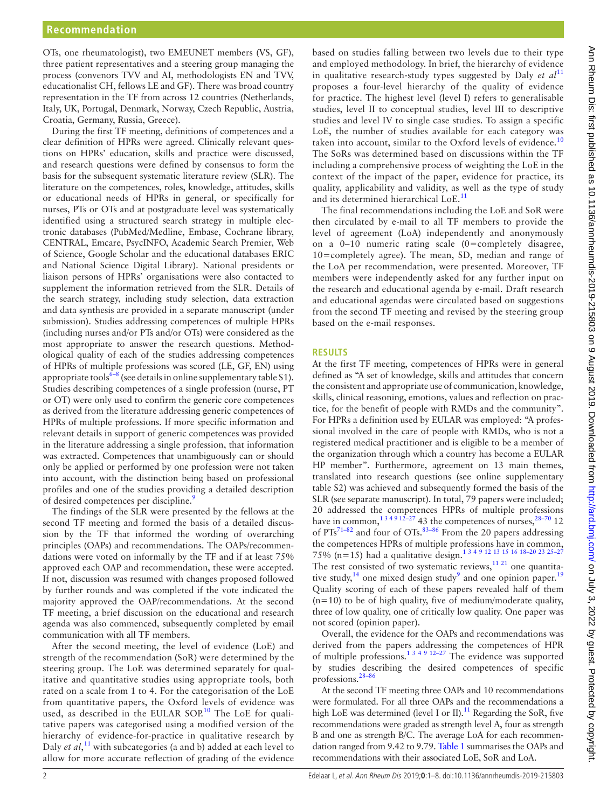OTs, one rheumatologist), two EMEUNET members (VS, GF), three patient representatives and a steering group managing the process (convenors TVV and AI, methodologists EN and TVV, educationalist CH, fellows LE and GF). There was broad country representation in the TF from across 12 countries (Netherlands, Italy, UK, Portugal, Denmark, Norway, Czech Republic, Austria, Croatia, Germany, Russia, Greece).

During the first TF meeting, definitions of competences and a clear definition of HPRs were agreed. Clinically relevant questions on HPRs' education, skills and practice were discussed, and research questions were defined by consensus to form the basis for the subsequent systematic literature review (SLR). The literature on the competences, roles, knowledge, attitudes, skills or educational needs of HPRs in general, or specifically for nurses, PTs or OTs and at postgraduate level was systematically identified using a structured search strategy in multiple electronic databases (PubMed/Medline, Embase, Cochrane library, CENTRAL, Emcare, PsycINFO, Academic Search Premier, Web of Science, Google Scholar and the educational databases ERIC and National Science Digital Library). National presidents or liaison persons of HPRs' organisations were also contacted to supplement the information retrieved from the SLR. Details of the search strategy, including study selection, data extraction and data synthesis are provided in a separate manuscript (under submission). Studies addressing competences of multiple HPRs (including nurses and/or PTs and/or OTs) were considered as the most appropriate to answer the research questions. Methodological quality of each of the studies addressing competences of HPRs of multiple professions was scored (LE, GF, EN) using appropriate tools<sup>6-8</sup> (see details in [online supplementary table S1](https://dx.doi.org/10.1136/annrheumdis-2019-215803)). Studies describing competences of a single profession (nurse, PT or OT) were only used to confirm the generic core competences as derived from the literature addressing generic competences of HPRs of multiple professions. If more specific information and relevant details in support of generic competences was provided in the literature addressing a single profession, that information was extracted. Competences that unambiguously can or should only be applied or performed by one profession were not taken into account, with the distinction being based on professional profiles and one of the studies providing a detailed description of desired competences per discipline.<sup>[9](#page-6-0)</sup>

The findings of the SLR were presented by the fellows at the second TF meeting and formed the basis of a detailed discussion by the TF that informed the wording of overarching principles (OAPs) and recommendations. The OAPs/recommendations were voted on informally by the TF and if at least 75% approved each OAP and recommendation, these were accepted. If not, discussion was resumed with changes proposed followed by further rounds and was completed if the vote indicated the majority approved the OAP/recommendations. At the second TF meeting, a brief discussion on the educational and research agenda was also commenced, subsequently completed by email communication with all TF members.

After the second meeting, the level of evidence (LoE) and strength of the recommendation (SoR) were determined by the steering group. The LoE was determined separately for qualitative and quantitative studies using appropriate tools, both rated on a scale from 1 to 4. For the categorisation of the LoE from quantitative papers, the Oxford levels of evidence was used, as described in the EULAR SOP.<sup>10</sup> The LoE for qualitative papers was categorised using a modified version of the hierarchy of evidence-for-practice in qualitative research by Daly *et al*,<sup>[11](#page-6-2)</sup> with subcategories (a and b) added at each level to allow for more accurate reflection of grading of the evidence

based on studies falling between two levels due to their type and employed methodology. In brief, the hierarchy of evidence in qualitative research-study types suggested by Daly *et al*<sup>[11](#page-6-2)</sup> proposes a four-level hierarchy of the quality of evidence for practice. The highest level (level I) refers to generalisable studies, level II to conceptual studies, level III to descriptive studies and level IV to single case studies. To assign a specific LoE, the number of studies available for each category was taken into account, similar to the Oxford levels of evidence.<sup>[10](#page-6-1)</sup> The SoRs was determined based on discussions within the TF including a comprehensive process of weighting the LoE in the context of the impact of the paper, evidence for practice, its quality, applicability and validity, as well as the type of study and its determined hierarchical LoE.<sup>[11](#page-6-2)</sup>

The final recommendations including the LoE and SoR were then circulated by e-mail to all TF members to provide the level of agreement (LoA) independently and anonymously on a 0–10 numeric rating scale (0=completely disagree, 10=completely agree). The mean, SD, median and range of the LoA per recommendation, were presented. Moreover, TF members were independently asked for any further input on the research and educational agenda by e-mail. Draft research and educational agendas were circulated based on suggestions from the second TF meeting and revised by the steering group based on the e-mail responses.

#### **Results**

At the first TF meeting, competences of HPRs were in general defined as "A set of knowledge, skills and attitudes that concern the consistent and appropriate use of communication, knowledge, skills, clinical reasoning, emotions, values and reflection on practice, for the benefit of people with RMDs and the community". For HPRs a definition used by EULAR was employed: "A professional involved in the care of people with RMDs, who is not a registered medical practitioner and is eligible to be a member of the organization through which a country has become a EULAR HP member". Furthermore, agreement on 13 main themes, translated into research questions (see [online supplementary](https://dx.doi.org/10.1136/annrheumdis-2019-215803) [table S2](https://dx.doi.org/10.1136/annrheumdis-2019-215803)) was achieved and subsequently formed the basis of the SLR (see separate manuscript). In total, 79 papers were included; 20 addressed the competences HPRs of multiple professions have in common,<sup>134912-27</sup>43 the competences of nurses,<sup>28-70</sup> 12 of  $PTs^{71-82}$  and four of OTs.<sup>83-86</sup> From the 20 papers addressing the competences HPRs of multiple professions have in common, 75% (n=15) had a qualitative design.<sup>1 3 4 9</sup> <sup>12</sup> <sup>13</sup> 15 <sup>16</sup> 18–20 <sup>23</sup> <sup>25–27</sup> The rest consisted of two systematic reviews, $11$   $21$  one quantitative study,  $14$  one mixed design study<sup>9</sup> and one opinion paper.<sup>[19](#page-6-6)</sup> Quality scoring of each of these papers revealed half of them  $(n=10)$  to be of high quality, five of medium/moderate quality, three of low quality, one of critically low quality. One paper was not scored (opinion paper).

Overall, the evidence for the OAPs and recommendations was derived from the papers addressing the competences of HPR of multiple professions.<sup>1 3 4 9 12–27</sup> The evidence was supported by studies describing the desired competences of specific professions.[28–86](#page-6-3)

At the second TF meeting three OAPs and 10 recommendations were formulated. For all three OAPs and the recommendations a high LoE was determined (level I or II).<sup>11</sup> Regarding the SoR, five recommendations were graded as strength level A, four as strength B and one as strength B/C. The average LoA for each recommendation ranged from 9.42 to 9.79. [Table](#page-2-0) 1 summarises the OAPs and recommendations with their associated LoE, SoR and LoA.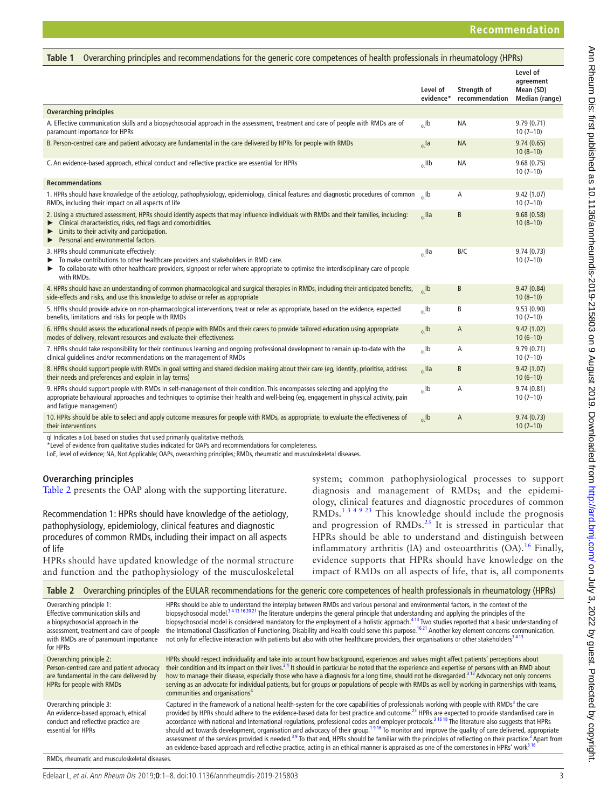<span id="page-2-0"></span>

| Overarching principles and recommendations for the generic core competences of health professionals in rheumatology (HPRs)<br>Table 1                                                                                                                                                         |                       |                               |                                                      |  |  |
|-----------------------------------------------------------------------------------------------------------------------------------------------------------------------------------------------------------------------------------------------------------------------------------------------|-----------------------|-------------------------------|------------------------------------------------------|--|--|
|                                                                                                                                                                                                                                                                                               | Level of<br>evidence* | Strength of<br>recommendation | Level of<br>agreement<br>Mean (SD)<br>Median (range) |  |  |
| <b>Overarching principles</b>                                                                                                                                                                                                                                                                 |                       |                               |                                                      |  |  |
| A. Effective communication skills and a biopsychosocial approach in the assessment, treatment and care of people with RMDs are of<br>paramount importance for HPRs                                                                                                                            | $_{01}$ lb            | <b>NA</b>                     | 9.79(0.71)<br>$10(7-10)$                             |  |  |
| B. Person-centred care and patient advocacy are fundamental in the care delivered by HPRs for people with RMDs                                                                                                                                                                                | $_{QL}$ la            | <b>NA</b>                     | 9.74(0.65)<br>$10(8-10)$                             |  |  |
| C. An evidence-based approach, ethical conduct and reflective practice are essential for HPRs                                                                                                                                                                                                 | $_{0L}$ IIb           | <b>NA</b>                     | 9.68(0.75)<br>$10(7-10)$                             |  |  |
| <b>Recommendations</b>                                                                                                                                                                                                                                                                        |                       |                               |                                                      |  |  |
| 1. HPRs should have knowledge of the aetiology, pathophysiology, epidemiology, clinical features and diagnostic procedures of common<br>RMDs, including their impact on all aspects of life                                                                                                   | $h_{\alpha}$ lb       | A                             | 9.42(1.07)<br>$10(7-10)$                             |  |  |
| 2. Using a structured assessment, HPRs should identify aspects that may influence individuals with RMDs and their families, including:<br>Clinical characteristics, risks, red flags and comorbidities.<br>Limits to their activity and participation.<br>Personal and environmental factors. | $\alpha$ lla          | B                             | 9.68(0.58)<br>$10(8-10)$                             |  |  |
| 3. HPRs should communicate effectively:<br>To make contributions to other healthcare providers and stakeholders in RMD care.<br>▶<br>• To collaborate with other healthcare providers, signpost or refer where appropriate to optimise the interdisciplinary care of people<br>with RMDs.     | $_{0}$ Ila            | B/C                           | 9.74(0.73)<br>$10(7-10)$                             |  |  |
| 4. HPRs should have an understanding of common pharmacological and surgical therapies in RMDs, including their anticipated benefits,<br>side-effects and risks, and use this knowledge to advise or refer as appropriate                                                                      | $_{0}$ lb             | B                             | 9.47(0.84)<br>$10(8-10)$                             |  |  |
| 5. HPRs should provide advice on non-pharmacological interventions, treat or refer as appropriate, based on the evidence, expected<br>benefits, limitations and risks for people with RMDs                                                                                                    | $_{01}$ lb            | B                             | 9.53(0.90)<br>$10(7-10)$                             |  |  |
| 6. HPRs should assess the educational needs of people with RMDs and their carers to provide tailored education using appropriate<br>modes of delivery, relevant resources and evaluate their effectiveness                                                                                    | $_{01}$ lb            | $\overline{A}$                | 9.42(1.02)<br>$10(6-10)$                             |  |  |
| 7. HPRs should take responsibility for their continuous learning and ongoing professional development to remain up-to-date with the<br>clinical quidelines and/or recommendations on the management of RMDs                                                                                   | $_{\alpha}$ Ib        | Α                             | 9.79(0.71)<br>$10(7-10)$                             |  |  |
| 8. HPRs should support people with RMDs in goal setting and shared decision making about their care (eq, identify, prioritise, address<br>their needs and preferences and explain in lay terms)                                                                                               | $_{01}$ lla           | B                             | 9.42(1.07)<br>$10(6-10)$                             |  |  |
| 9. HPRs should support people with RMDs in self-management of their condition. This encompasses selecting and applying the<br>appropriate behavioural approaches and techniques to optimise their health and well-being (eq, engagement in physical activity, pain<br>and fatique management) | $_{QL}$ Ib            | Α                             | 9.74(0.81)<br>$10(7-10)$                             |  |  |
| 10. HPRs should be able to select and apply outcome measures for people with RMDs, as appropriate, to evaluate the effectiveness of<br>their interventions<br>al Indicator a LeE based on studies that used primarily qualitative methods.                                                    | $_{01}$ lb            | A                             | 9.74(0.73)<br>$10(7-10)$                             |  |  |

ql Indicates a LoE based on studies that used primarily qualitative methods.

\*Level of evidence from qualitative studies indicated for OAPs and recommendations for completeness.

LoE, level of evidence; NA, Not Applicable; OAPs, overarching principles; RMDs, rheumatic and musculoskeletal diseases.

#### **Overarching principles**

[Table](#page-2-1) 2 presents the OAP along with the supporting literature.

Recommendation 1: HPRs should have knowledge of the aetiology, pathophysiology, epidemiology, clinical features and diagnostic procedures of common RMDs, including their impact on all aspects of life

HPRs should have updated knowledge of the normal structure and function and the pathophysiology of the musculoskeletal

system; common pathophysiological processes to support diagnosis and management of RMDs; and the epidemiology, clinical features and diagnostic procedures of common RMDs.[1 3 4 9 23](#page-5-0) This knowledge should include the prognosis and progression of  $RMDs.$ <sup>23</sup> It is stressed in particular that HPRs should be able to understand and distinguish between inflammatory arthritis (IA) and osteoarthritis (OA).<sup>[16](#page-6-7)</sup> Finally, evidence supports that HPRs should have knowledge on the impact of RMDs on all aspects of life, that is, all components

<span id="page-2-1"></span>

| Table 2 | Overarching principles of the EULAR recommendations for the generic core competences of health professionals in rheumatology (HPRs) |  |  |
|---------|-------------------------------------------------------------------------------------------------------------------------------------|--|--|
|         |                                                                                                                                     |  |  |

| Overarching principle 1:<br>Effective communication skills and<br>a biopsychosocial approach in the<br>assessment, treatment and care of people<br>with RMDs are of paramount importance<br>for HPRs | HPRs should be able to understand the interplay between RMDs and various personal and environmental factors, in the context of the<br>biopsychosocial model. <sup>3413162021</sup> The literature underpins the general principle that understanding and applying the principles of the<br>biopsychosocial model is considered mandatory for the employment of a holistic approach. <sup>413</sup> Two studies reported that a basic understanding of<br>the International Classification of Functioning, Disability and Health could serve this purpose. <sup>1621</sup> Another key element concerns communication,<br>not only for effective interaction with patients but also with other healthcare providers, their organisations or other stakeholders <sup>3413</sup>                                                                                                                                                                                                           |
|------------------------------------------------------------------------------------------------------------------------------------------------------------------------------------------------------|-----------------------------------------------------------------------------------------------------------------------------------------------------------------------------------------------------------------------------------------------------------------------------------------------------------------------------------------------------------------------------------------------------------------------------------------------------------------------------------------------------------------------------------------------------------------------------------------------------------------------------------------------------------------------------------------------------------------------------------------------------------------------------------------------------------------------------------------------------------------------------------------------------------------------------------------------------------------------------------------|
| Overarching principle 2:<br>Person-centred care and patient advocacy<br>are fundamental in the care delivered by<br>HPRs for people with RMDs                                                        | HPRs should respect individuality and take into account how background, experiences and values might affect patients' perceptions about<br>their condition and its impact on their lives. <sup>34</sup> It should in particular be noted that the experience and expertise of persons with an RMD about<br>how to manage their disease, especially those who have a diagnosis for a long time, should not be disregarded. <sup>313</sup> Advocacy not only concerns<br>serving as an advocate for individual patients, but for groups or populations of people with RMDs as well by working in partnerships with teams,<br>communities and organisations <sup>4</sup>                                                                                                                                                                                                                                                                                                                   |
| Overarching principle 3:<br>An evidence-based approach, ethical<br>conduct and reflective practice are<br>essential for HPRs                                                                         | Captured in the framework of a national health-system for the core capabilities of professionals working with people with RMDs <sup>3</sup> the care<br>provided by HPRs should adhere to the evidence-based data for best practice and outcome. <sup>23</sup> HPRs are expected to provide standardised care in<br>accordance with national and International regulations, professional codes and employer protocols. <sup>31618</sup> The literature also suggests that HPRs<br>should act towards development, organisation and advocacy of their group. <sup>1916</sup> To monitor and improve the quality of care delivered, appropriate<br>assessment of the services provided is needed. <sup>39</sup> To that end, HPRs should be familiar with the principles of reflecting on their practice. <sup>3</sup> Apart from<br>an evidence-based approach and reflective practice, acting in an ethical manner is appraised as one of the cornerstones in HPRs' work <sup>316</sup> |

RMDs, rheumatic and musculoskeletal diseases.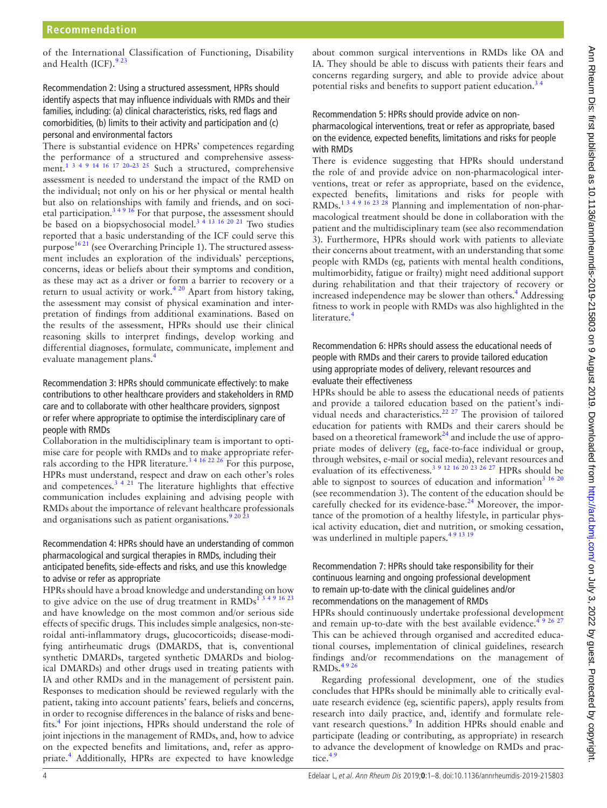of the International Classification of Functioning, Disability and Health (ICF). $923$ 

## Recommendation 2: Using a structured assessment, HPRs should identify aspects that may influence individuals with RMDs and their families, including: (a) clinical characteristics, risks, red flags and comorbidities, (b) limits to their activity and participation and (c) personal and environmental factors

There is substantial evidence on HPRs' competences regarding the performance of a structured and comprehensive assessment.<sup>1 3 4 9 14 16 17 20–23 25</sup> Such a structured, comprehensive assessment is needed to understand the impact of the RMD on the individual; not only on his or her physical or mental health but also on relationships with family and friends, and on societal participation.<sup>34916</sup> For that purpose, the assessment should be based on a biopsychosocial model.<sup>3</sup> <sup>4 13 16 20 <sup>21</sup> Two studies</sup> reported that a basic understanding of the ICF could serve this purpose<sup>16 21</sup> (see Overarching Principle 1). The structured assessment includes an exploration of the individuals' perceptions, concerns, ideas or beliefs about their symptoms and condition, as these may act as a driver or form a barrier to recovery or a return to usual activity or work.<sup>4 20</sup> Apart from history taking, the assessment may consist of physical examination and interpretation of findings from additional examinations. Based on the results of the assessment, HPRs should use their clinical reasoning skills to interpret findings, develop working and differential diagnoses, formulate, communicate, implement and evaluate management plans[.4](#page-5-3)

### Recommendation 3: HPRs should communicate effectively: to make contributions to other healthcare providers and stakeholders in RMD care and to collaborate with other healthcare providers, signpost or refer where appropriate to optimise the interdisciplinary care of people with RMDs

Collaboration in the multidisciplinary team is important to optimise care for people with RMDs and to make appropriate referrals according to the HPR literature.<sup>3 4 16</sup> 22  $^{26}$  For this purpose, HPRs must understand, respect and draw on each other's roles and competences. $3 \frac{4}{21}$  The literature highlights that effective communication includes explaining and advising people with RMDs about the importance of relevant healthcare professionals and organisations such as patient organisations.  $92023$ 

### Recommendation 4: HPRs should have an understanding of common pharmacological and surgical therapies in RMDs, including their anticipated benefits, side-effects and risks, and use this knowledge to advise or refer as appropriate

HPRs should have a broad knowledge and understanding on how to give advice on the use of drug treatment in  $RMDs<sup>13</sup>$ and have knowledge on the most common and/or serious side effects of specific drugs. This includes simple analgesics, non-steroidal anti-inflammatory drugs, glucocorticoids; disease-modifying antirheumatic drugs (DMARDS, that is, conventional synthetic DMARDs, targeted synthetic DMARDs and biological DMARDs) and other drugs used in treating patients with IA and other RMDs and in the management of persistent pain. Responses to medication should be reviewed regularly with the patient, taking into account patients' fears, beliefs and concerns, in order to recognise differences in the balance of risks and bene-fits.<sup>[4](#page-5-3)</sup> For joint injections, HPRs should understand the role of joint injections in the management of RMDs, and, how to advice on the expected benefits and limitations, and, refer as appro-priate.<sup>[4](#page-5-3)</sup> Additionally, HPRs are expected to have knowledge

about common surgical interventions in RMDs like OA and IA. They should be able to discuss with patients their fears and concerns regarding surgery, and able to provide advice about potential risks and benefits to support patient education.<sup>3</sup>

#### Recommendation 5: HPRs should provide advice on nonpharmacological interventions, treat or refer as appropriate, based on the evidence, expected benefits, limitations and risks for people with RMDs

There is evidence suggesting that HPRs should understand the role of and provide advice on non-pharmacological interventions, treat or refer as appropriate, based on the evidence, expected benefits, limitations and risks for people with RMDs.<sup>[1 3 4 9 16 23 28](#page-5-0)</sup> Planning and implementation of non-pharmacological treatment should be done in collaboration with the patient and the multidisciplinary team (see also recommendation 3). Furthermore, HPRs should work with patients to alleviate their concerns about treatment, with an understanding that some people with RMDs (eg, patients with mental health conditions, multimorbidity, fatigue or frailty) might need additional support during rehabilitation and that their trajectory of recovery or increased independence may be slower than others.<sup>[4](#page-5-3)</sup> Addressing fitness to work in people with RMDs was also highlighted in the literature.

## Recommendation 6: HPRs should assess the educational needs of people with RMDs and their carers to provide tailored education using appropriate modes of delivery, relevant resources and evaluate their effectiveness

HPRs should be able to assess the educational needs of patients and provide a tailored education based on the patient's indi-vidual needs and characteristics.<sup>[22 27](#page-6-9)</sup> The provision of tailored education for patients with RMDs and their carers should be based on a theoretical framework<sup>[24](#page-6-10)</sup> and include the use of appropriate modes of delivery (eg, face-to-face individual or group, through websites, e-mail or social media), relevant resources and evaluation of its effectiveness.<sup>3 9 12 16 20 23 26 27</sup> HPRs should be able to signpost to sources of education and information<sup>[3 16 20](#page-5-2)</sup> (see recommendation 3). The content of the education should be carefully checked for its evidence-base.<sup>[24](#page-6-10)</sup> Moreover, the importance of the promotion of a healthy lifestyle, in particular physical activity education, diet and nutrition, or smoking cessation, was underlined in multiple papers.<sup>49 13 19</sup>

## Recommendation 7: HPRs should take responsibility for their continuous learning and ongoing professional development to remain up-to-date with the clinical guidelines and/or recommendations on the management of RMDs

HPRs should continuously undertake professional development and remain up-to-date with the best available evidence.<sup>4</sup>

This can be achieved through organised and accredited educational courses, implementation of clinical guidelines, research findings and/or recommendations on the management of RMDs.<sup>4926</sup>

Regarding professional development, one of the studies concludes that HPRs should be minimally able to critically evaluate research evidence (eg, scientific papers), apply results from research into daily practice, and, identify and formulate rele-vant research questions.<sup>[9](#page-6-0)</sup> In addition HPRs should enable and participate (leading or contributing, as appropriate) in research to advance the development of knowledge on RMDs and practice.<sup>45</sup>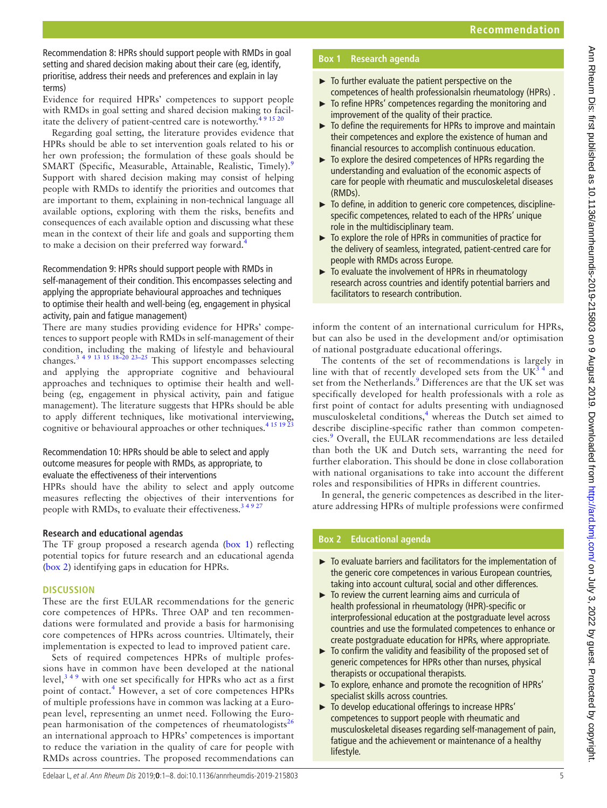Recommendation 8: HPRs should support people with RMDs in goal setting and shared decision making about their care (eg, identify, prioritise, address their needs and preferences and explain in lay terms)

Evidence for required HPRs' competences to support people with RMDs in goal setting and shared decision making to facilitate the delivery of patient-centred care is noteworthy.<sup>491520</sup>

Regarding goal setting, the literature provides evidence that HPRs should be able to set intervention goals related to his or her own profession; the formulation of these goals should be SMART (Specific, Measurable, Attainable, Realistic, Timely).<sup>9</sup> Support with shared decision making may consist of helping people with RMDs to identify the priorities and outcomes that are important to them, explaining in non-technical language all available options, exploring with them the risks, benefits and consequences of each available option and discussing what these mean in the context of their life and goals and supporting them to make a decision on their preferred way forward.<sup>4</sup>

Recommendation 9: HPRs should support people with RMDs in self-management of their condition. This encompasses selecting and applying the appropriate behavioural approaches and techniques to optimise their health and well-being (eg, engagement in physical activity, pain and fatigue management)

There are many studies providing evidence for HPRs' competences to support people with RMDs in self-management of their condition, including the making of lifestyle and behavioural changes.<sup>3 4 9</sup> <sup>13</sup> <sup>15</sup> <sup>18-20</sup> <sup>23-25</sup> This support encompasses selecting and applying the appropriate cognitive and behavioural approaches and techniques to optimise their health and wellbeing (eg, engagement in physical activity, pain and fatigue management). The literature suggests that HPRs should be able to apply different techniques, like motivational interviewing, cognitive or behavioural approaches or other techniques.<sup>[4 15 19 23](#page-5-3)</sup>

## Recommendation 10: HPRs should be able to select and apply outcome measures for people with RMDs, as appropriate, to evaluate the effectiveness of their interventions

HPRs should have the ability to select and apply outcome measures reflecting the objectives of their interventions for people with RMDs, to evaluate their effectiveness.<sup>34927</sup>

# **Research and educational agendas**

The TF group proposed a research agenda ([box](#page-4-0) 1) reflecting potential topics for future research and an educational agenda ([box](#page-4-1) 2) identifying gaps in education for HPRs.

# **Discussion**

These are the first EULAR recommendations for the generic core competences of HPRs. Three OAP and ten recommendations were formulated and provide a basis for harmonising core competences of HPRs across countries. Ultimately, their implementation is expected to lead to improved patient care.

Sets of required competences HPRs of multiple professions have in common have been developed at the national level,  $349$  with one set specifically for HPRs who act as a first point of contact.<sup>[4](#page-5-3)</sup> However, a set of core competences HPRs of multiple professions have in common was lacking at a European level, representing an unmet need. Following the Euro-pean harmonisation of the competences of rheumatologists<sup>[26](#page-6-11)</sup> an international approach to HPRs' competences is important to reduce the variation in the quality of care for people with RMDs across countries. The proposed recommendations can

# **Box 1 Research agenda**

- <span id="page-4-0"></span> $\blacktriangleright$  To further evaluate the patient perspective on the competences of health professionalsin rheumatology (HPRs) .
- ► To refine HPRs' competences regarding the monitoring and improvement of the quality of their practice.
- $\triangleright$  To define the requirements for HPRs to improve and maintain their competences and explore the existence of human and financial resources to accomplish continuous education.
- ► To explore the desired competences of HPRs regarding the understanding and evaluation of the economic aspects of care for people with rheumatic and musculoskeletal diseases (RMDs).
- ► To define, in addition to generic core competences, disciplinespecific competences, related to each of the HPRs' unique role in the multidisciplinary team.
- ► To explore the role of HPRs in communities of practice for the delivery of seamless, integrated, patient-centred care for people with RMDs across Europe.
- ► To evaluate the involvement of HPRs in rheumatology research across countries and identify potential barriers and facilitators to research contribution.

inform the content of an international curriculum for HPRs, but can also be used in the development and/or optimisation of national postgraduate educational offerings.

The contents of the set of recommendations is largely in line with that of recently developed sets from the  $UK<sup>34</sup>$  and set from the Netherlands.<sup>[9](#page-6-0)</sup> Differences are that the UK set was specifically developed for health professionals with a role as first point of contact for adults presenting with undiagnosed musculoskeletal conditions,<sup>[4](#page-5-3)</sup> whereas the Dutch set aimed to describe discipline-specific rather than common competen-cies.<sup>[9](#page-6-0)</sup> Overall, the EULAR recommendations are less detailed than both the UK and Dutch sets, warranting the need for further elaboration. This should be done in close collaboration with national organisations to take into account the different roles and responsibilities of HPRs in different countries.

In general, the generic competences as described in the literature addressing HPRs of multiple professions were confirmed

# **Box 2 Educational agenda**

- <span id="page-4-1"></span>► To evaluate barriers and facilitators for the implementation of the generic core competences in various European countries, taking into account cultural, social and other differences.
- $\blacktriangleright$  To review the current learning aims and curricula of health professional in rheumatology (HPR)-specific or interprofessional education at the postgraduate level across countries and use the formulated competences to enhance or create postgraduate education for HPRs, where appropriate.
- $\triangleright$  To confirm the validity and feasibility of the proposed set of generic competences for HPRs other than nurses, physical therapists or occupational therapists.
- ► To explore, enhance and promote the recognition of HPRs' specialist skills across countries.
- ► To develop educational offerings to increase HPRs' competences to support people with rheumatic and musculoskeletal diseases regarding self-management of pain, fatigue and the achievement or maintenance of a healthy lifestyle.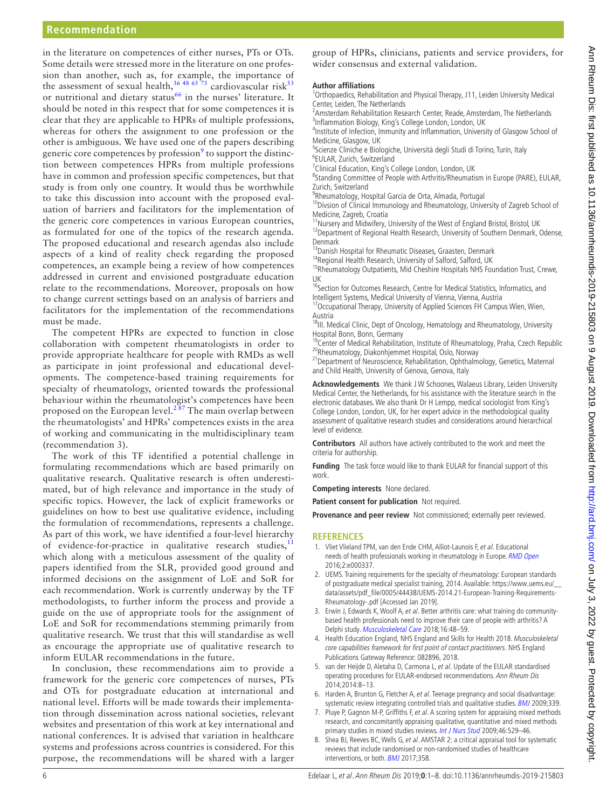in the literature on competences of either nurses, PTs or OTs. Some details were stressed more in the literature on one profession than another, such as, for example, the importance of the assessment of sexual health,  $36\frac{48}{65}$  75 cardiovascular risk $53$ or nutritional and dietary status<sup>[66](#page-6-14)</sup> in the nurses' literature. It should be noted in this respect that for some competences it is clear that they are applicable to HPRs of multiple professions, whereas for others the assignment to one profession or the other is ambiguous. We have used one of the papers describing generic core competences by profession<sup>[9](#page-6-0)</sup> to support the distinction between competences HPRs from multiple professions have in common and profession specific competences, but that study is from only one country. It would thus be worthwhile to take this discussion into account with the proposed evaluation of barriers and facilitators for the implementation of the generic core competences in various European countries, as formulated for one of the topics of the research agenda. The proposed educational and research agendas also include aspects of a kind of reality check regarding the proposed competences, an example being a review of how competences addressed in current and envisioned postgraduate education relate to the recommendations. Moreover, proposals on how to change current settings based on an analysis of barriers and facilitators for the implementation of the recommendations must be made.

The competent HPRs are expected to function in close collaboration with competent rheumatologists in order to provide appropriate healthcare for people with RMDs as well as participate in joint professional and educational developments. The competence-based training requirements for specialty of rheumatology, oriented towards the professional behaviour within the rheumatologist's competences have been proposed on the European level.<sup>287</sup> The main overlap between the rheumatologists' and HPRs' competences exists in the area of working and communicating in the multidisciplinary team (recommendation 3).

The work of this TF identified a potential challenge in formulating recommendations which are based primarily on qualitative research. Qualitative research is often underestimated, but of high relevance and importance in the study of specific topics. However, the lack of explicit frameworks or guidelines on how to best use qualitative evidence, including the formulation of recommendations, represents a challenge. As part of this work, we have identified a four-level hierarchy of evidence-for-practice in qualitative research studies,<sup>[11](#page-6-2)</sup> which along with a meticulous assessment of the quality of papers identified from the SLR, provided good ground and informed decisions on the assignment of LoE and SoR for each recommendation. Work is currently underway by the TF methodologists, to further inform the process and provide a guide on the use of appropriate tools for the assignment of LoE and SoR for recommendations stemming primarily from qualitative research. We trust that this will standardise as well as encourage the appropriate use of qualitative research to inform EULAR recommendations in the future.

In conclusion, these recommendations aim to provide a framework for the generic core competences of nurses, PTs and OTs for postgraduate education at international and national level. Efforts will be made towards their implementation through dissemination across national societies, relevant websites and presentation of this work at key international and national conferences. It is advised that variation in healthcare systems and professions across countries is considered. For this purpose, the recommendations will be shared with a larger

group of HPRs, clinicians, patients and service providers, for wider consensus and external validation.

#### **Author affiliations**

<sup>1</sup>Orthopaedics, Rehabilitation and Physical Therapy, J11, Leiden University Medical Center, Leiden, The Netherlands

<sup>2</sup> Amsterdam Rehabilitation Research Center, Reade, Amsterdam, The Netherlands <sup>3</sup>Inflammation Biology, King's College London, London, UK

4 Institute of Infection, Immunity and Inflammation, University of Glasgow School of Medicine, Glasgow, UK

<sup>5</sup>Scienze Cliniche e Biologiche, Università degli Studi di Torino, Turin, Italy 6 EULAR, Zurich, Switzerland

<sup>7</sup>Clinical Education, King's College London, London, UK

<sup>8</sup>Standing Committee of People with Arthritis/Rheumatism in Europe (PARE), EULAR, Zurich, Switzerland

<sup>9</sup>Rheumatology, Hospital Garcia de Orta, Almada, Portugal

<sup>10</sup>Divsion of Clinical Immunology and Rheumatology, University of Zagreb School of Medicine, Zagreb, Croatia

<sup>11</sup>Nursery and Midwifery, University of the West of England Bristol, Bristol, UK <sup>12</sup>Department of Regional Health Research, University of Southern Denmark, Odense, Denmark

<sup>13</sup> Danish Hospital for Rheumatic Diseases, Graasten, Denmark

<sup>14</sup>Regional Health Research, University of Salford, Salford, UK

<sup>15</sup>Rheumatology Outpatients, Mid Cheshire Hospitals NHS Foundation Trust, Crewe, UK

<sup>16</sup>Section for Outcomes Research, Centre for Medical Statistics, Informatics, and Intelligent Systems, Medical University of Vienna, Vienna, Austria

<sup>17</sup> Occupational Therapy, University of Applied Sciences FH Campus Wien, Wien, Austria

<sup>18</sup>III. Medical Clinic, Dept of Oncology, Hematology and Rheumatology, University Hospital Bonn, Bonn, Germany

<sup>19</sup>Center of Medical Rehabilitation, Institute of Rheumatology, Praha, Czech Republic <sup>20</sup>Rheumatology, Diakonhjemmet Hospital, Oslo, Norway

<sup>21</sup> Department of Neuroscience, Rehabilitation, Ophthalmology, Genetics, Maternal and Child Health, University of Genova, Genova, Italy

**Acknowledgements** We thank J W Schoones, Walaeus Library, Leiden University Medical Center, the Netherlands, for his assistance with the literature search in the electronic databases. We also thank Dr H Lempp, medical sociologist from King's College London, London, UK, for her expert advice in the methodological quality assessment of qualitative research studies and considerations around hierarchical level of evidence.

**Contributors** All authors have actively contributed to the work and meet the criteria for authorship.

**Funding** The task force would like to thank EULAR for financial support of this work.

**Competing interests** None declared.

**Patient consent for publication** Not required.

**Provenance and peer review** Not commissioned; externally peer reviewed.

#### **References**

- <span id="page-5-0"></span>1. Vliet Vlieland TPM, van den Ende CHM, Alliot-Launois F, et al. Educational needs of health professionals working in rheumatology in Europe. [RMD Open](http://dx.doi.org/10.1136/rmdopen-2016-000337) 2016;2:e000337.
- <span id="page-5-1"></span>2. UEMS. Training requirements for the specialty of rheumatology: European standards of postgraduate medical specialist training, 2014. Available: [https://www.uems.eu/\\_\\_](https://www.uems.eu/__data/assets/pdf_file/0005/44438/UEMS-2014.21-European-Training-Requirements-Rheumatology-.pdf) [data/assets/pdf\\_file/0005/44438/UEMS-2014.21-European-Training-Requirements-](https://www.uems.eu/__data/assets/pdf_file/0005/44438/UEMS-2014.21-European-Training-Requirements-Rheumatology-.pdf)[Rheumatology-.pdf](https://www.uems.eu/__data/assets/pdf_file/0005/44438/UEMS-2014.21-European-Training-Requirements-Rheumatology-.pdf) [Accessed Jan 2019].
- <span id="page-5-2"></span>3. Erwin J, Edwards K, Woolf A, et al. Better arthritis care: what training do communitybased health professionals need to improve their care of people with arthritis? A Delphi study. [Musculoskeletal Care](http://dx.doi.org/10.1002/msc.1202) 2018;16:48–59.
- <span id="page-5-3"></span>4. Health Education England, NHS England and Skills for Health 2018. Musculoskeletal core capabilities framework for first point of contact practitioners. NHS England Publications Gateway Reference: 082896, 2018.
- <span id="page-5-4"></span>5. van der Heijde D, Aletaha D, Carmona L, et al. Update of the EULAR standardised operating procedures for EULAR-endorsed recommendations. Ann Rheum Dis 2014;2014:8–13.
- <span id="page-5-5"></span>6. Harden A, Brunton G, Fletcher A, et al. Teenage pregnancy and social disadvantage: systematic review integrating controlled trials and qualitative studies. [BMJ](http://dx.doi.org/10.1136/bmj.b4254) 2009;339.
- 7. Pluye P, Gagnon M-P, Griffiths F, et al. A scoring system for appraising mixed methods research, and concomitantly appraising qualitative, quantitative and mixed methods primary studies in mixed studies reviews. [Int J Nurs Stud](http://dx.doi.org/10.1016/j.ijnurstu.2009.01.009) 2009;46:529–46.
- 8. Shea BJ, Reeves BC, Wells G, et al. AMSTAR 2: a critical appraisal tool for systematic reviews that include randomised or non-randomised studies of healthcare interventions, or both. **[BMJ](http://dx.doi.org/10.1136/bmj.j4008)** 2017;358.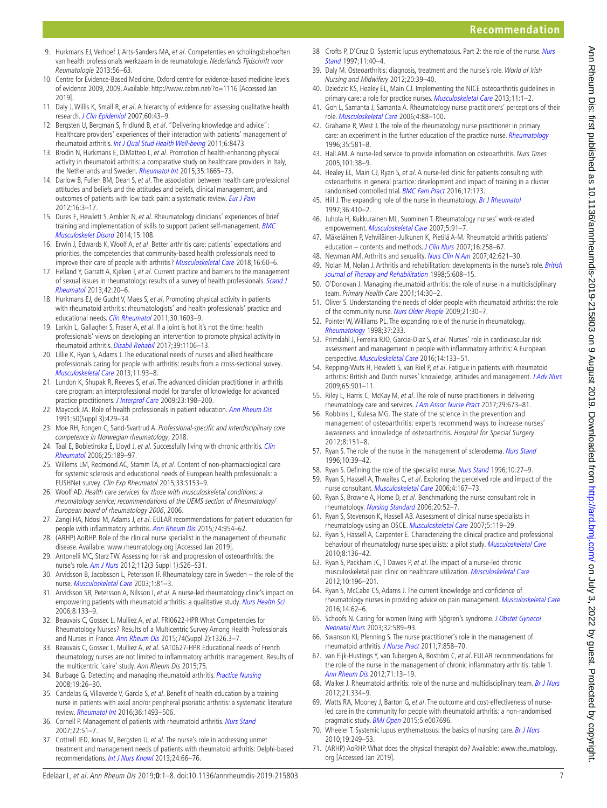39. Daly M. Osteoarthritis: diagnosis, treatment and the nurse's role. World of Irish Nursing and Midwifery 2012;20:39–40.

[Stand](http://dx.doi.org/10.7748/ns.11.44.40.s50)  $1997 \cdot 11 \cdot 40 - 4$ 

- 40. Dziedzic KS, Healey EL, Main CJ. Implementing the NICE osteoarthritis guidelines in primary care: a role for practice nurses. [Musculoskeletal Care](http://dx.doi.org/10.1002/msc.1040) 2013;11:1-2.
- 41. Goh L, Samanta J, Samanta A. Rheumatology nurse practitioners' perceptions of their role. [Musculoskeletal Care](http://dx.doi.org/10.1002/msc.81) 2006;4:88–100.
- 42. Grahame R, West J. The role of the rheumatology nurse practitioner in primary care: an experiment in the further education of the practice nurse. [Rheumatology](http://dx.doi.org/10.1093/rheumatology/35.6.581) 1996;35:581–8.
- 43. Hall AM. A nurse-led service to provide information on osteoarthritis. Nurs Times 2005;101:38–9.
- 44. Healey EL, Main CJ, Ryan S, et al. A nurse-led clinic for patients consulting with osteoarthritis in general practice: development and impact of training in a cluster randomised controlled trial. [BMC Fam Pract](http://dx.doi.org/10.1186/s12875-016-0568-y) 2016;17:173.
- 45. Hill J. The expanding role of the nurse in rheumatology. [Br J Rheumatol](http://dx.doi.org/10.1093/rheumatology/36.4.410) 1997;36:410–2.
- 46. Juhola H, Kukkurainen ML, Suominen T. Rheumatology nurses' work-related empowerment. [Musculoskeletal Care](http://dx.doi.org/10.1002/msc.102) 2007;5:91–7.
- 47. Mäkeläinen P, Vehviläinen-Julkunen K, Pietilä A-M. Rheumatoid arthritis patients' education – contents and methods. [J Clin Nurs](http://dx.doi.org/10.1111/j.1365-2702.2007.01953.x) 2007;16:258-67.
- 48. Newman AM. Arthritis and sexuality. [Nurs Clin N Am](http://dx.doi.org/10.1016/j.cnur.2007.08.006) 2007;42:621-30.
- 49. Nolan M, Nolan J. Arthritis and rehabilitation: developments in the nurse's role. British [Journal of Therapy and Rehabilitation](http://dx.doi.org/10.12968/bjtr.1998.5.12.14024) 1998;5:608-15.
- 50. O'Donovan J. Managing rheumatoid arthritis: the role of nurse in a multidisciplinary team. Primary Health Care 2001;14:30–2.
- 51. Oliver S. Understanding the needs of older people with rheumatoid arthritis: the role of the community nurse. [Nurs Older People](http://dx.doi.org/10.7748/nop2009.11.21.9.30.c7348) 2009;21:30–7.
- 52. Pointer W, Williams PL. The expanding role of the nurse in rheumatology. [Rheumatology](http://dx.doi.org/10.1093/rheumatology/37.2.233a) 1998;37:233.
- <span id="page-6-13"></span>53. Primdahl J, Ferreira RJO, Garcia-Diaz S, et al. Nurses' role in cardiovascular risk assessment and management in people with inflammatory arthritis: A European perspective. [Musculoskeletal Care](http://dx.doi.org/10.1002/msc.1121) 2016;14:133–51.
- 54. Repping-Wuts H, Hewlett S, van Riel P, et al. Fatigue in patients with rheumatoid arthritis: British and Dutch nurses' knowledge, attitudes and management. [J Adv Nurs](http://dx.doi.org/10.1111/j.1365-2648.2008.04904.x) 2009;65:901–11.
- 55. Riley L, Harris C, McKay M, et al. The role of nurse practitioners in delivering rheumatology care and services. [J Am Assoc Nurse Pract](http://dx.doi.org/10.1002/2327-6924.12525) 2017;29:673-81.
- 56. Robbins L, Kulesa MG. The state of the science in the prevention and management of osteoarthritis: experts recommend ways to increase nurses' awareness and knowledge of osteoarthritis. Hospital for Special Surgery 2012;8:151–8.
- 57. Ryan S. The role of the nurse in the management of scleroderma. [Nurs Stand](http://dx.doi.org/10.7748/ns.10.48.39.s54) 1996;10:39–42.
- 58. Ryan S. Defining the role of the specialist nurse. [Nurs Stand](http://dx.doi.org/10.7748/ns.10.17.27.s31) 1996;10:27-9.
- 59. Ryan S, Hassell A, Thwaites C, et al. Exploring the perceived role and impact of the nurse consultant. [Musculoskeletal Care](http://dx.doi.org/10.1002/msc.87) 2006;4:167–73.
- 60. Ryan S, Browne A, Home D, et al. Benchmarking the nurse consultant role in rheumatology. [Nursing Standard](http://dx.doi.org/10.7748/ns.20.33.52.s52) 2006;20:52–7.
- 61. Ryan S, Stevenson K, Hassell AB. Assessment of clinical nurse specialists in rheumatology using an OSCE. [Musculoskeletal Care](http://dx.doi.org/10.1002/msc.106) 2007;5:119–29.
- 62. Ryan S, Hassell A, Carpenter E. Characterizing the clinical practice and professional behaviour of rheumatology nurse specialists: a pilot study. [Musculoskeletal Care](http://dx.doi.org/10.1002/msc.173) 2010;8:136–42.
- 63. Ryan S, Packham JC, T Dawes P, et al. The impact of a nurse-led chronic musculoskeletal pain clinic on healthcare utilization. [Musculoskeletal Care](http://dx.doi.org/10.1002/msc.1018) 2012;10:196–201.
- 64. Ryan S, McCabe CS, Adams J. The current knowledge and confidence of rheumatology nurses in providing advice on pain management. [Musculoskeletal Care](http://dx.doi.org/10.1002/msc.1113) 2016;14:62–6.
- 65. Schoofs N. Caring for women living with Sjögren's syndrome. J Obstet Gynecol [Neonatal Nurs](http://dx.doi.org/10.1177/0884217503257142) 2003;32:589–93.
- <span id="page-6-14"></span>66. Swanson KI, Pfenning S. The nurse practitioner's role in the management of rheumatoid arthritis. [J Nurse Pract](http://dx.doi.org/10.1016/j.nurpra.2011.07.010) 2011;7:858–70.
- 67. van Eijk-Hustings Y, van Tubergen A, Boström C, et al. EULAR recommendations for the role of the nurse in the management of chronic inflammatory arthritis: table 1. [Ann Rheum Dis](http://dx.doi.org/10.1136/annrheumdis-2011-200185) 2012;71:13–19.
- 68. Walker J. Rheumatoid arthritis: role of the nurse and multidisciplinary team. [Br J Nurs](http://dx.doi.org/10.12968/bjon.2012.21.6.334) 2012;21:334–9.
- 69. Watts RA, Mooney J, Barton G, et al. The outcome and cost-effectiveness of nurseled care in the community for people with rheumatoid arthritis: a non-randomised pragmatic study. [BMJ Open](http://dx.doi.org/10.1136/bmjopen-2015-007696) 2015;5:e007696.
- 70. Wheeler T. Systemic lupus erythematosus: the basics of nursing care. [Br J Nurs](http://dx.doi.org/10.12968/bjon.2010.19.4.46788) 2010;19:249–53.
- <span id="page-6-4"></span>71. (ARHP) AoRHP. What does the physical therapist do? Available: [www.rheumatology.](www.rheumatology.org) [org](www.rheumatology.org) [Accessed Jan 2019].
- <span id="page-6-0"></span>9. Hurkmans EJ, Verhoef J, Arts-Sanders MA, et al. Competenties en scholingsbehoeften van health professionals werkzaam in de reumatologie. Nederlands Tijdschrift voor Reumatologie 2013:56–63.
- <span id="page-6-1"></span>10. Centre for Evidence-Based Medicine. Oxford centre for evidence-based medicine levels of evidence 2009, 2009. Available: <http://www.cebm.net/?o=1116> [Accessed Jan 2019].
- <span id="page-6-2"></span>11. Daly J, Willis K, Small R, et al. A hierarchy of evidence for assessing qualitative health research. [J Clin Epidemiol](http://dx.doi.org/10.1016/j.jclinepi.2006.03.014) 2007;60:43–9.
- 12. Bergsten U, Bergman S, Fridlund B, et al. "Delivering knowledge and advice": Healthcare providers' experiences of their interaction with patients' management of rheumatoid arthritis. [Int J Qual Stud Health Well-being](http://dx.doi.org/10.3402/qhw.v6i4.8473) 2011;6:8473.
- 13. Brodin N, Hurkmans E, DiMatteo L, et al. Promotion of health-enhancing physical activity in rheumatoid arthritis: a comparative study on healthcare providers in Italy, the Netherlands and Sweden. [Rheumatol Int](http://dx.doi.org/10.1007/s00296-015-3267-4) 2015;35:1665-73.
- <span id="page-6-5"></span>14. Darlow B, Fullen BM, Dean S, et al. The association between health care professional attitudes and beliefs and the attitudes and beliefs, clinical management, and outcomes of patients with low back pain: a systematic review. [Eur J Pain](http://dx.doi.org/10.1016/j.ejpain.2011.06.006) 2012;16:3–17.
- 15. Dures E, Hewlett S, Ambler N, et al. Rheumatology clinicians' experiences of brief training and implementation of skills to support patient self-management. [BMC](http://dx.doi.org/10.1186/1471-2474-15-108)  [Musculoskelet Disord](http://dx.doi.org/10.1186/1471-2474-15-108) 2014;15:108.
- <span id="page-6-7"></span>16. Erwin J, Edwards K, Woolf A, et al. Better arthritis care: patients' expectations and priorities, the competencies that community-based health professionals need to improve their care of people with arthritis? [Musculoskeletal Care](http://dx.doi.org/10.1002/msc.1203) 2018;16:60-6.
- 17. Helland Y, Garratt A, Kjeken I, et al. Current practice and barriers to the management of sexual issues in rheumatology: results of a survey of health professionals. Scand J [Rheumatol](http://dx.doi.org/10.3109/03009742.2012.709274) 2013;42:20–6.
- 18. Hurkmans EJ, de Gucht V, Maes S, et al. Promoting physical activity in patients with rheumatoid arthritis: rheumatologists' and health professionals' practice and educational needs. [Clin Rheumatol](http://dx.doi.org/10.1007/s10067-011-1846-7) 2011;30:1603-9.
- <span id="page-6-6"></span>19. Larkin L, Gallagher S, Fraser A, et al. If a joint is hot it's not the time: health professionals' views on developing an intervention to promote physical activity in rheumatoid arthritis. [Disabil Rehabil](http://dx.doi.org/10.1080/09638288.2016.1180548) 2017;39:1106–13.
- 20. Lillie K, Ryan S, Adams J. The educational needs of nurses and allied healthcare professionals caring for people with arthritis: results from a cross-sectional survey. [Musculoskeletal Care](http://dx.doi.org/10.1002/msc.1035) 2013;11:93–8.
- 21. Lundon K, Shupak R, Reeves S, et al. The advanced clinician practitioner in arthritis care program: an interprofessional model for transfer of knowledge for advanced practice practitioners. [J Interprof Care](http://dx.doi.org/10.1080/13561820802379987) 2009;23:198–200.
- <span id="page-6-9"></span>22. Maycock JA. Role of health professionals in patient education. [Ann Rheum Dis](http://dx.doi.org/10.1136/ard.50.Suppl_3.429) 1991;50(Suppl 3):429–34.
- <span id="page-6-8"></span>23. Moe RH, Fongen C, Sand-Svartrud A. Professional-specific and interdisciplinary core competence in Norwegian rheumatology, 2018.
- <span id="page-6-10"></span>24. Taal E, Bobietinska E, Lloyd J, et al. Successfully living with chronic arthritis. Clin [Rheumatol](http://dx.doi.org/10.1007/s10067-005-1155-0) 2006;25:189–97.
- 25. Willems LM, Redmond AC, Stamm TA, et al. Content of non-pharmacological care for systemic sclerosis and educational needs of European health professionals: a EUSHNet survey. Clin Exp Rheumatol 2015;33:S153–9.
- <span id="page-6-11"></span>26. Woolf AD. Health care services for those with musculoskeletal conditions: a rheumatology service; recommendations of the UEMS section of Rheumatology/ European board of rheumatology 2006, 2006.
- 27. Zangi HA, Ndosi M, Adams J, et al. EULAR recommendations for patient education for people with inflammatory arthritis. [Ann Rheum Dis](http://dx.doi.org/10.1136/annrheumdis-2014-206807) 2015;74:954-62.
- <span id="page-6-3"></span>28. (ARHP) AoRHP. Role of the clinical nurse specialist in the management of rheumatic disease. Available:<www.rheumatology.org> [Accessed Jan 2019].
- 29. Antonelli MC, Starz TW. Assessing for risk and progression of osteoarthritis: the nurse's role. [Am J Nurs](http://dx.doi.org/10.1097/01.NAJ.0000412648.25797.f0) 2012;112(3 Suppl 1):S26-S31.
- 30. Arvidsson B, Jacobsson L, Petersson IF. Rheumatology care in Sweden the role of the nurse. [Musculoskeletal Care](http://dx.doi.org/10.1002/msc.43) 2003;1:81–3.
- 31. Arvidsson SB, Petersson A, Nilsson I, et al. A nurse-led rheumatology clinic's impact on empowering patients with rheumatoid arthritis: a qualitative study. [Nurs Health Sci](http://dx.doi.org/10.1111/j.1442-2018.2006.00269.x) 2006;8:133–9.
- 32. Beauvais C, Gossec L, Mulliez A, et al. FRI0622-HPR What Competencies for Rheumatology Nurses? Results of a Multicentric Survey Among Health Professionals and Nurses in France. [Ann Rheum Dis](http://dx.doi.org/10.1136/annrheumdis-2015-eular.4627) 2015;74(Suppl 2):1326.3-7.
- 33. Beauvais C, Gossec L, Mulliez A, et al. SAT0627-HPR Educational needs of French rheumatology nurses are not limited to inflammatory arthritis management. Results of the multicentric 'caire' study. Ann Rheum Dis 2015;75.
- 34. Burbage G. Detecting and managing rheumatoid arthritis. [Practice Nursing](http://dx.doi.org/10.12968/pnur.2008.19.1.27969) 2008;19:26–30.
- 35. Candelas G, Villaverde V, García S, et al. Benefit of health education by a training nurse in patients with axial and/or peripheral psoriatic arthritis: a systematic literature review. [Rheumatol Int](http://dx.doi.org/10.1007/s00296-016-3549-5) 2016;36:1493–506.
- <span id="page-6-12"></span>36. Cornell P. Management of patients with rheumatoid arthritis. [Nurs Stand](http://dx.doi.org/10.7748/ns2007.10.22.4.51.c4622) 2007;22:51–7.
- 37. Cottrell JED, Jonas M, Bergsten U, et al. The nurse's role in addressing unmet treatment and management needs of patients with rheumatoid arthritis: Delphi-based recommendations. [Int J Nurs Knowl](http://dx.doi.org/10.1111/j.2047-3095.2013.01231.x) 2013;24:66-76.